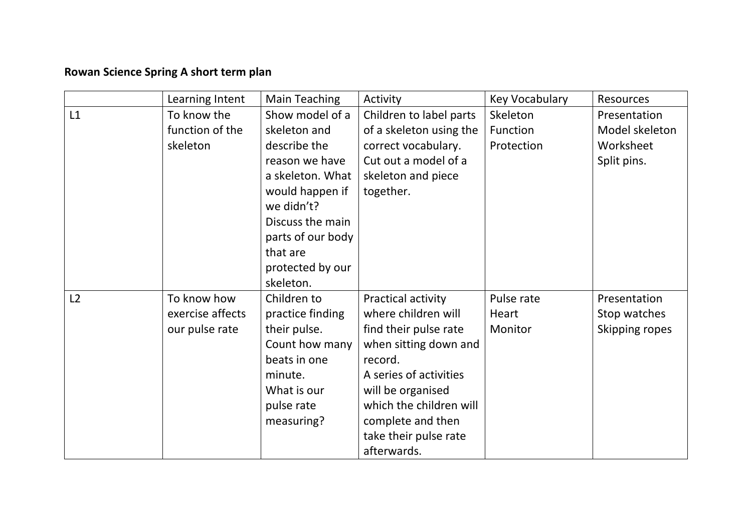## **Rowan Science Spring A short term plan**

|    | Learning Intent  | Main Teaching     | Activity                | Key Vocabulary | <b>Resources</b> |
|----|------------------|-------------------|-------------------------|----------------|------------------|
| L1 | To know the      | Show model of a   | Children to label parts | Skeleton       | Presentation     |
|    | function of the  | skeleton and      | of a skeleton using the | Function       | Model skeleton   |
|    | skeleton         | describe the      | correct vocabulary.     | Protection     | Worksheet        |
|    |                  | reason we have    | Cut out a model of a    |                | Split pins.      |
|    |                  | a skeleton. What  | skeleton and piece      |                |                  |
|    |                  | would happen if   | together.               |                |                  |
|    |                  | we didn't?        |                         |                |                  |
|    |                  | Discuss the main  |                         |                |                  |
|    |                  | parts of our body |                         |                |                  |
|    |                  | that are          |                         |                |                  |
|    |                  | protected by our  |                         |                |                  |
|    |                  | skeleton.         |                         |                |                  |
| L2 | To know how      | Children to       | Practical activity      | Pulse rate     | Presentation     |
|    | exercise affects | practice finding  | where children will     | Heart          | Stop watches     |
|    | our pulse rate   | their pulse.      | find their pulse rate   | Monitor        | Skipping ropes   |
|    |                  | Count how many    | when sitting down and   |                |                  |
|    |                  | beats in one      | record.                 |                |                  |
|    |                  | minute.           | A series of activities  |                |                  |
|    |                  | What is our       | will be organised       |                |                  |
|    |                  | pulse rate        | which the children will |                |                  |
|    |                  | measuring?        | complete and then       |                |                  |
|    |                  |                   | take their pulse rate   |                |                  |
|    |                  |                   | afterwards.             |                |                  |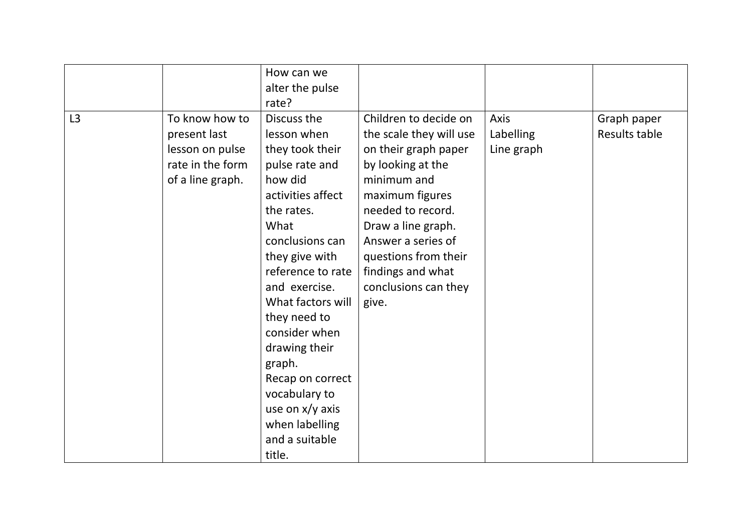|    |                                                                                           | How can we<br>alter the pulse<br>rate?                                                                                                                                                                                                                                                                                                                                                    |                                                                                                                                                                                                                                                                                |                                        |                                     |
|----|-------------------------------------------------------------------------------------------|-------------------------------------------------------------------------------------------------------------------------------------------------------------------------------------------------------------------------------------------------------------------------------------------------------------------------------------------------------------------------------------------|--------------------------------------------------------------------------------------------------------------------------------------------------------------------------------------------------------------------------------------------------------------------------------|----------------------------------------|-------------------------------------|
| L3 | To know how to<br>present last<br>lesson on pulse<br>rate in the form<br>of a line graph. | Discuss the<br>lesson when<br>they took their<br>pulse rate and<br>how did<br>activities affect<br>the rates.<br>What<br>conclusions can<br>they give with<br>reference to rate<br>and exercise.<br>What factors will<br>they need to<br>consider when<br>drawing their<br>graph.<br>Recap on correct<br>vocabulary to<br>use on $x/y$ axis<br>when labelling<br>and a suitable<br>title. | Children to decide on<br>the scale they will use<br>on their graph paper<br>by looking at the<br>minimum and<br>maximum figures<br>needed to record.<br>Draw a line graph.<br>Answer a series of<br>questions from their<br>findings and what<br>conclusions can they<br>give. | Axis<br><b>Labelling</b><br>Line graph | Graph paper<br><b>Results table</b> |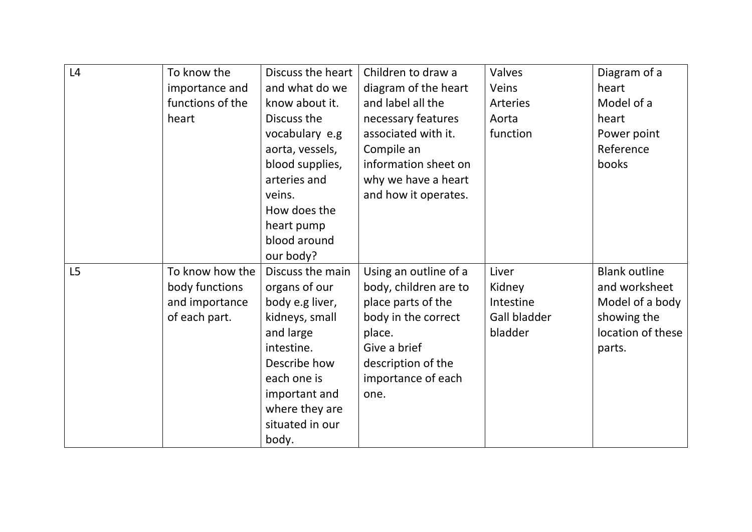| L4 | To know the      | Discuss the heart | Children to draw a    | Valves       | Diagram of a         |
|----|------------------|-------------------|-----------------------|--------------|----------------------|
|    | importance and   | and what do we    | diagram of the heart  | Veins        | heart                |
|    | functions of the | know about it.    | and label all the     | Arteries     | Model of a           |
|    | heart            | Discuss the       | necessary features    | Aorta        | heart                |
|    |                  | vocabulary e.g    | associated with it.   | function     | Power point          |
|    |                  | aorta, vessels,   | Compile an            |              | Reference            |
|    |                  | blood supplies,   | information sheet on  |              | books                |
|    |                  | arteries and      | why we have a heart   |              |                      |
|    |                  | veins.            | and how it operates.  |              |                      |
|    |                  | How does the      |                       |              |                      |
|    |                  | heart pump        |                       |              |                      |
|    |                  | blood around      |                       |              |                      |
|    |                  | our body?         |                       |              |                      |
| L5 | To know how the  | Discuss the main  | Using an outline of a | Liver        | <b>Blank outline</b> |
|    | body functions   | organs of our     | body, children are to | Kidney       | and worksheet        |
|    | and importance   | body e.g liver,   | place parts of the    | Intestine    | Model of a body      |
|    | of each part.    | kidneys, small    | body in the correct   | Gall bladder | showing the          |
|    |                  | and large         | place.                | bladder      | location of these    |
|    |                  | intestine.        | Give a brief          |              | parts.               |
|    |                  | Describe how      | description of the    |              |                      |
|    |                  | each one is       | importance of each    |              |                      |
|    |                  | important and     | one.                  |              |                      |
|    |                  | where they are    |                       |              |                      |
|    |                  | situated in our   |                       |              |                      |
|    |                  | body.             |                       |              |                      |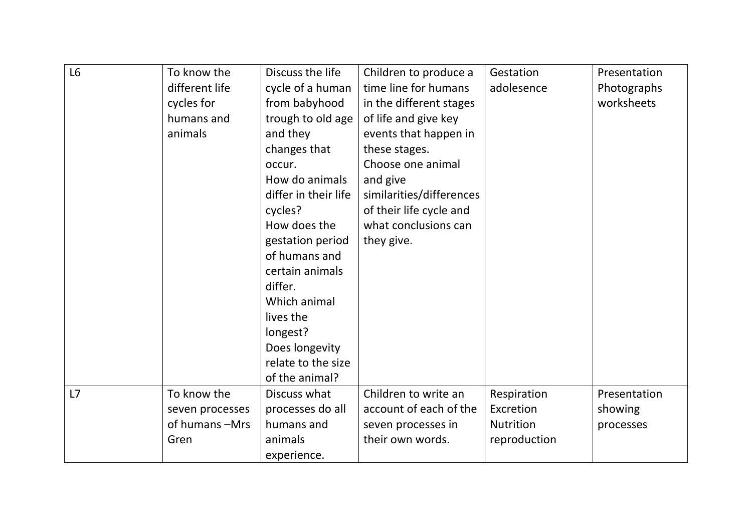| L6 | To know the     | Discuss the life     | Children to produce a    | Gestation        | Presentation |
|----|-----------------|----------------------|--------------------------|------------------|--------------|
|    | different life  | cycle of a human     | time line for humans     | adolesence       | Photographs  |
|    | cycles for      | from babyhood        | in the different stages  |                  | worksheets   |
|    | humans and      | trough to old age    | of life and give key     |                  |              |
|    | animals         | and they             | events that happen in    |                  |              |
|    |                 | changes that         | these stages.            |                  |              |
|    |                 | occur.               | Choose one animal        |                  |              |
|    |                 | How do animals       | and give                 |                  |              |
|    |                 | differ in their life | similarities/differences |                  |              |
|    |                 | cycles?              | of their life cycle and  |                  |              |
|    |                 | How does the         | what conclusions can     |                  |              |
|    |                 | gestation period     | they give.               |                  |              |
|    |                 | of humans and        |                          |                  |              |
|    |                 | certain animals      |                          |                  |              |
|    |                 | differ.              |                          |                  |              |
|    |                 | Which animal         |                          |                  |              |
|    |                 | lives the            |                          |                  |              |
|    |                 | longest?             |                          |                  |              |
|    |                 | Does longevity       |                          |                  |              |
|    |                 | relate to the size   |                          |                  |              |
|    |                 | of the animal?       |                          |                  |              |
| L7 | To know the     | Discuss what         | Children to write an     | Respiration      | Presentation |
|    | seven processes | processes do all     | account of each of the   | Excretion        | showing      |
|    | of humans -Mrs  | humans and           | seven processes in       | <b>Nutrition</b> | processes    |
|    | Gren            | animals              | their own words.         | reproduction     |              |
|    |                 | experience.          |                          |                  |              |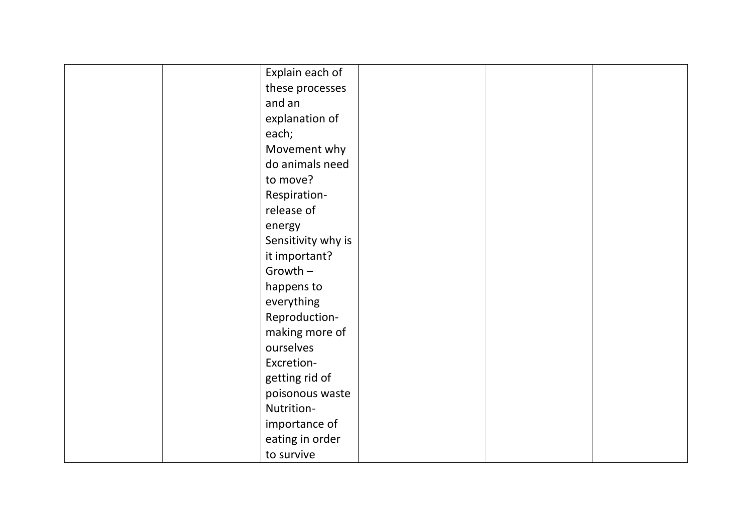| Explain each of    |  |  |
|--------------------|--|--|
| these processes    |  |  |
| and an             |  |  |
| explanation of     |  |  |
| each;              |  |  |
| Movement why       |  |  |
| do animals need    |  |  |
| to move?           |  |  |
| Respiration-       |  |  |
| release of         |  |  |
| energy             |  |  |
| Sensitivity why is |  |  |
| it important?      |  |  |
| $Growth -$         |  |  |
| happens to         |  |  |
| everything         |  |  |
| Reproduction-      |  |  |
| making more of     |  |  |
| ourselves          |  |  |
| Excretion-         |  |  |
| getting rid of     |  |  |
| poisonous waste    |  |  |
| Nutrition-         |  |  |
| importance of      |  |  |
| eating in order    |  |  |
| to survive         |  |  |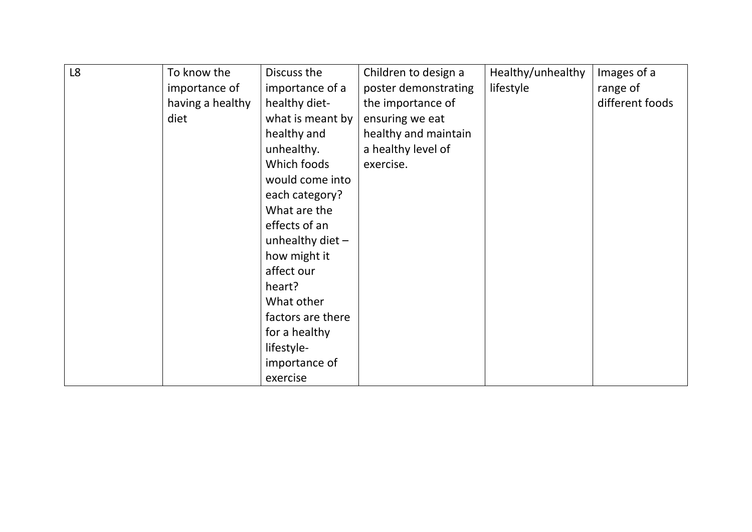| L <sub>8</sub> | To know the      | Discuss the        | Children to design a | Healthy/unhealthy | Images of a     |
|----------------|------------------|--------------------|----------------------|-------------------|-----------------|
|                | importance of    | importance of a    | poster demonstrating | lifestyle         | range of        |
|                | having a healthy | healthy diet-      | the importance of    |                   | different foods |
|                | diet             | what is meant by   | ensuring we eat      |                   |                 |
|                |                  | healthy and        | healthy and maintain |                   |                 |
|                |                  | unhealthy.         | a healthy level of   |                   |                 |
|                |                  | Which foods        | exercise.            |                   |                 |
|                |                  | would come into    |                      |                   |                 |
|                |                  | each category?     |                      |                   |                 |
|                |                  | What are the       |                      |                   |                 |
|                |                  | effects of an      |                      |                   |                 |
|                |                  | unhealthy diet $-$ |                      |                   |                 |
|                |                  | how might it       |                      |                   |                 |
|                |                  | affect our         |                      |                   |                 |
|                |                  | heart?             |                      |                   |                 |
|                |                  | What other         |                      |                   |                 |
|                |                  | factors are there  |                      |                   |                 |
|                |                  | for a healthy      |                      |                   |                 |
|                |                  | lifestyle-         |                      |                   |                 |
|                |                  | importance of      |                      |                   |                 |
|                |                  | exercise           |                      |                   |                 |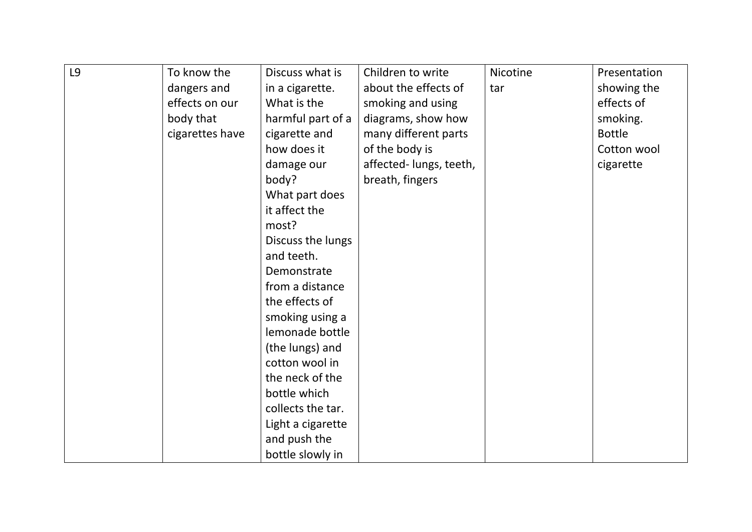| L9 | To know the     | Discuss what is   | Children to write      | <b>Nicotine</b> | Presentation  |
|----|-----------------|-------------------|------------------------|-----------------|---------------|
|    | dangers and     | in a cigarette.   | about the effects of   | tar             | showing the   |
|    | effects on our  | What is the       | smoking and using      |                 | effects of    |
|    | body that       | harmful part of a | diagrams, show how     |                 | smoking.      |
|    | cigarettes have | cigarette and     | many different parts   |                 | <b>Bottle</b> |
|    |                 | how does it       | of the body is         |                 | Cotton wool   |
|    |                 | damage our        | affected-lungs, teeth, |                 | cigarette     |
|    |                 | body?             | breath, fingers        |                 |               |
|    |                 | What part does    |                        |                 |               |
|    |                 | it affect the     |                        |                 |               |
|    |                 | most?             |                        |                 |               |
|    |                 | Discuss the lungs |                        |                 |               |
|    |                 | and teeth.        |                        |                 |               |
|    |                 | Demonstrate       |                        |                 |               |
|    |                 | from a distance   |                        |                 |               |
|    |                 | the effects of    |                        |                 |               |
|    |                 | smoking using a   |                        |                 |               |
|    |                 | lemonade bottle   |                        |                 |               |
|    |                 | (the lungs) and   |                        |                 |               |
|    |                 | cotton wool in    |                        |                 |               |
|    |                 | the neck of the   |                        |                 |               |
|    |                 | bottle which      |                        |                 |               |
|    |                 | collects the tar. |                        |                 |               |
|    |                 | Light a cigarette |                        |                 |               |
|    |                 | and push the      |                        |                 |               |
|    |                 | bottle slowly in  |                        |                 |               |